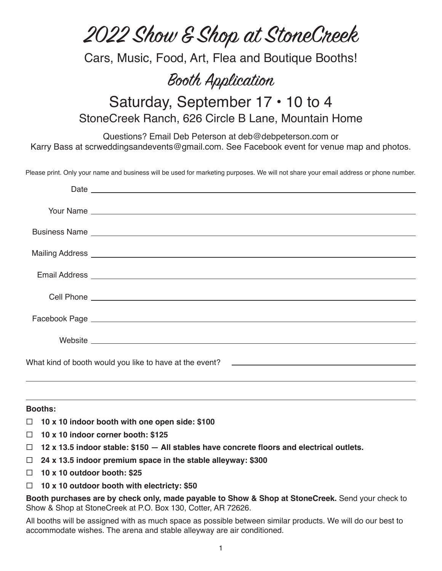# 2022 Show & Shop at StoneCreek

Cars, Music, Food, Art, Flea and Boutique Booths!

## Booth Application

### Saturday, September 17 • 10 to 4 StoneCreek Ranch, 626 Circle B Lane, Mountain Home

Questions? Email Deb Peterson at deb@debpeterson.com or Karry Bass at scrweddingsandevents@gmail.com. See Facebook event for venue map and photos.

Please print. Only your name and business will be used for marketing purposes. We will not share your email address or phone number.

#### **Booths:**

- **10 x 10 indoor booth with one open side: \$100**
- **10 x 10 indoor corner booth: \$125**
- **12 x 13.5 indoor stable: \$150 All stables have concrete floors and electrical outlets.**
- **24 x 13.5 indoor premium space in the stable alleyway: \$300**
- **10 x 10 outdoor booth: \$25**
- **10 x 10 outdoor booth with electricty: \$50**

**Booth purchases are by check only, made payable to Show & Shop at StoneCreek.** Send your check to Show & Shop at StoneCreek at P.O. Box 130, Cotter, AR 72626.

All booths will be assigned with as much space as possible between similar products. We will do our best to accommodate wishes. The arena and stable alleyway are air conditioned.